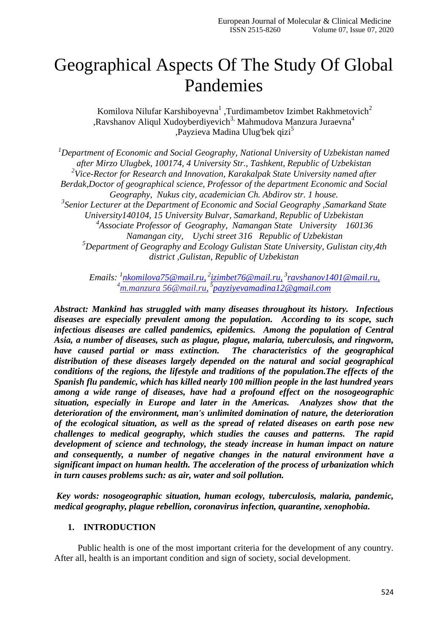## Geographical Aspects Of The Study Of Global Pandemies

Komilova Nilufar Karshiboyevna<sup>1</sup>, Turdimambetov Izimbet Rakhmetovich<sup>2</sup> ,Ravshanov Aliqul Xudoyberdiyevich<sup>3,</sup> Mahmudova Manzura Juraevna<sup>4</sup> ,Payzieva Madina Ulug'bek qizi<sup>5</sup>

*<sup>1</sup>Department of Economic and Social Geography, National University of Uzbekistan named after Mirzo Ulugbek, 100174, 4 University Str., Tashkent, Republic of Uzbekistan 2 Vice-Rector for Research and Innovation, Karakalpak State University named after Berdak,Doctor of geographical science, Professor of the department Economic and Social Geography, Nukus city, academician Ch. Abdirov str. 1 house. 3 Senior Lecturer at the Department of Economic and Social Geography ,Samarkand State University140104, 15 University Bulvar, Samarkand, Republic of Uzbekistan 4 Associate Professor of Geography, Namangan State University 160136 Namangan city, Uychi street 316 Republic of Uzbekistan <sup>5</sup>Department of Geography and Ecology Gulistan State University, Gulistan city,4th district ,Gulistan, Republic of Uzbekistan*

*Emails: <sup>1</sup> [nkomilova75@mail.ru,](mailto:nkomilova75@mail.ru) 2 [izimbet76@mail.ru,](mailto:izimbet76@mail.ru) 3 [ravshanov1401@mail.ru,](mailto:ravshanov1401@mail.ru) <sup>4</sup>[m.manzura 56@mail.ru,](mailto:m.manzura%2056@mail.ru) 5 [payziyevamadina12@gmail.com](mailto:payziyevamadina12@gmail.com)*

*Abstract: Mankind has struggled with many diseases throughout its history. Infectious diseases are especially prevalent among the population. According to its scope, such infectious diseases are called pandemics, epidemics. Among the population of Central Asia, a number of diseases, such as plague, plague, malaria, tuberculosis, and ringworm, have caused partial or mass extinction. The characteristics of the geographical distribution of these diseases largely depended on the natural and social geographical conditions of the regions, the lifestyle and traditions of the population.The effects of the Spanish flu pandemic, which has killed nearly 100 million people in the last hundred years among a wide range of diseases, have had a profound effect on the nosogeographic situation, especially in Europe and later in the Americas. Analyzes show that the deterioration of the environment, man's unlimited domination of nature, the deterioration of the ecological situation, as well as the spread of related diseases on earth pose new challenges to medical geography, which studies the causes and patterns. The rapid development of science and technology, the steady increase in human impact on nature and consequently, a number of negative changes in the natural environment have a significant impact on human health. The acceleration of the process of urbanization which in turn causes problems such: as air, water and soil pollution.*

*Key words: nosogeographic situation, human ecology, tuberculosis, malaria, pandemic, medical geography, plague rebellion, coronavirus infection, quarantine, xenophobia.*

## **1. INTRODUCTION**

Public health is one of the most important criteria for the development of any country. After all, health is an important condition and sign of society, social development.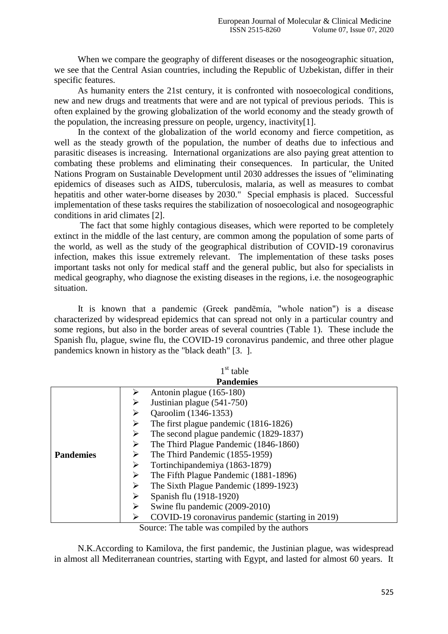When we compare the geography of different diseases or the nosogeographic situation, we see that the Central Asian countries, including the Republic of Uzbekistan, differ in their specific features.

As humanity enters the 21st century, it is confronted with nosoecological conditions, new and new drugs and treatments that were and are not typical of previous periods. This is often explained by the growing globalization of the world economy and the steady growth of the population, the increasing pressure on people, urgency, inactivity[1].

In the context of the globalization of the world economy and fierce competition, as well as the steady growth of the population, the number of deaths due to infectious and parasitic diseases is increasing. International organizations are also paying great attention to combating these problems and eliminating their consequences. In particular, the United Nations Program on Sustainable Development until 2030 addresses the issues of "eliminating epidemics of diseases such as AIDS, tuberculosis, malaria, as well as measures to combat hepatitis and other water-borne diseases by 2030." Special emphasis is placed. Successful implementation of these tasks requires the stabilization of nosoecological and nosogeographic conditions in arid climates [2].

 The fact that some highly contagious diseases, which were reported to be completely extinct in the middle of the last century, are common among the population of some parts of the world, as well as the study of the geographical distribution of COVID-19 coronavirus infection, makes this issue extremely relevant. The implementation of these tasks poses important tasks not only for medical staff and the general public, but also for specialists in medical geography, who diagnose the existing diseases in the regions, i.e. the nosogeographic situation.

It is known that a pandemic (Greek pandēmía, "whole nation") is a disease characterized by widespread epidemics that can spread not only in a particular country and some regions, but also in the border areas of several countries (Table 1). These include the Spanish flu, plague, swine flu, the COVID-19 coronavirus pandemic, and three other plague pandemics known in history as the "black death" [3. ].

| $1st$ table      |                                                  |  |  |  |
|------------------|--------------------------------------------------|--|--|--|
|                  | <b>Pandemies</b>                                 |  |  |  |
|                  | Antonin plague (165-180)                         |  |  |  |
|                  | Justinian plague (541-750)                       |  |  |  |
|                  | Qaroolim (1346-1353)                             |  |  |  |
|                  | The first plague pandemic (1816-1826)            |  |  |  |
|                  | The second plague pandemic (1829-1837)<br>➤      |  |  |  |
|                  | The Third Plague Pandemic (1846-1860)<br>≻       |  |  |  |
| <b>Pandemies</b> | The Third Pandemic (1855-1959)<br>➤              |  |  |  |
|                  | Tortinchipandemiya (1863-1879)<br>➤              |  |  |  |
|                  | The Fifth Plague Pandemic (1881-1896)            |  |  |  |
|                  | The Sixth Plague Pandemic (1899-1923)<br>➤       |  |  |  |
|                  | Spanish flu (1918-1920)                          |  |  |  |
|                  | Swine flu pandemic (2009-2010)                   |  |  |  |
|                  | COVID-19 coronavirus pandemic (starting in 2019) |  |  |  |

Source: The table was compiled by the authors

N.K.According to Kamilova, the first pandemic, the Justinian plague, was widespread in almost all Mediterranean countries, starting with Egypt, and lasted for almost 60 years. It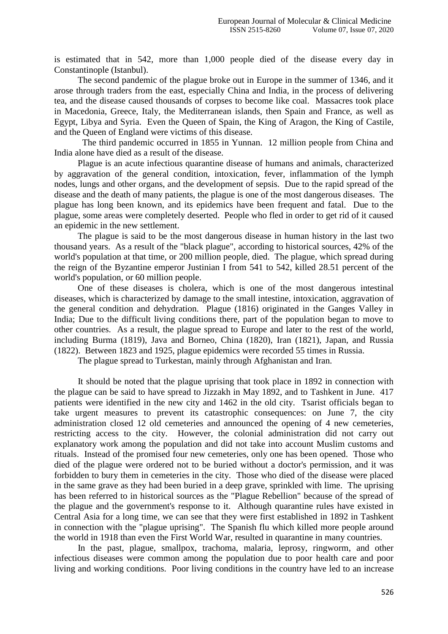is estimated that in 542, more than 1,000 people died of the disease every day in Constantinople (Istanbul).

The second pandemic of the plague broke out in Europe in the summer of 1346, and it arose through traders from the east, especially China and India, in the process of delivering tea, and the disease caused thousands of corpses to become like coal. Massacres took place in Macedonia, Greece, Italy, the Mediterranean islands, then Spain and France, as well as Egypt, Libya and Syria. Even the Queen of Spain, the King of Aragon, the King of Castile, and the Queen of England were victims of this disease.

 The third pandemic occurred in 1855 in Yunnan. 12 million people from China and India alone have died as a result of the disease.

Plague is an acute infectious quarantine disease of humans and animals, characterized by aggravation of the general condition, intoxication, fever, inflammation of the lymph nodes, lungs and other organs, and the development of sepsis. Due to the rapid spread of the disease and the death of many patients, the plague is one of the most dangerous diseases. The plague has long been known, and its epidemics have been frequent and fatal. Due to the plague, some areas were completely deserted. People who fled in order to get rid of it caused an epidemic in the new settlement.

The plague is said to be the most dangerous disease in human history in the last two thousand years. As a result of the "black plague", according to historical sources, 42% of the world's population at that time, or 200 million people, died. The plague, which spread during the reign of the Byzantine emperor Justinian I from 541 to 542, killed 28.51 percent of the world's population, or 60 million people.

One of these diseases is cholera, which is one of the most dangerous intestinal diseases, which is characterized by damage to the small intestine, intoxication, aggravation of the general condition and dehydration. Plague (1816) originated in the Ganges Valley in India; Due to the difficult living conditions there, part of the population began to move to other countries. As a result, the plague spread to Europe and later to the rest of the world, including Burma (1819), Java and Borneo, China (1820), Iran (1821), Japan, and Russia (1822). Between 1823 and 1925, plague epidemics were recorded 55 times in Russia.

The plague spread to Turkestan, mainly through Afghanistan and Iran.

It should be noted that the plague uprising that took place in 1892 in connection with the plague can be said to have spread to Jizzakh in May 1892, and to Tashkent in June. 417 patients were identified in the new city and 1462 in the old city. Tsarist officials began to take urgent measures to prevent its catastrophic consequences: on June 7, the city administration closed 12 old cemeteries and announced the opening of 4 new cemeteries, restricting access to the city. However, the colonial administration did not carry out explanatory work among the population and did not take into account Muslim customs and rituals. Instead of the promised four new cemeteries, only one has been opened. Those who died of the plague were ordered not to be buried without a doctor's permission, and it was forbidden to bury them in cemeteries in the city. Those who died of the disease were placed in the same grave as they had been buried in a deep grave, sprinkled with lime. The uprising has been referred to in historical sources as the "Plague Rebellion" because of the spread of the plague and the government's response to it. Although quarantine rules have existed in Central Asia for a long time, we can see that they were first established in 1892 in Tashkent in connection with the "plague uprising". The Spanish flu which killed more people around the world in 1918 than even the First World War, resulted in quarantine in many countries.

In the past, plague, smallpox, trachoma, malaria, leprosy, ringworm, and other infectious diseases were common among the population due to poor health care and poor living and working conditions. Poor living conditions in the country have led to an increase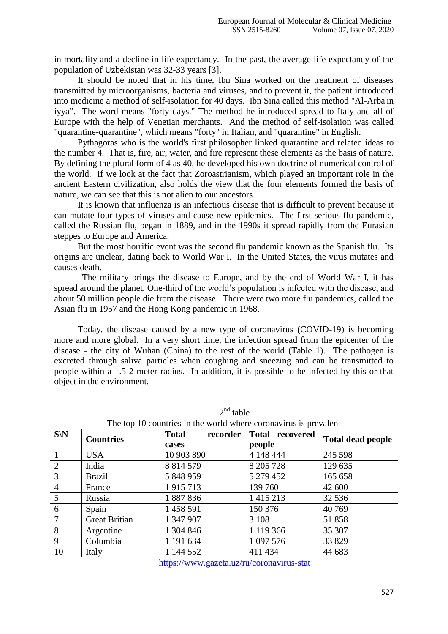in mortality and a decline in life expectancy. In the past, the average life expectancy of the population of Uzbekistan was 32-33 years [3].

It should be noted that in his time, Ibn Sina worked on the treatment of diseases transmitted by microorganisms, bacteria and viruses, and to prevent it, the patient introduced into medicine a method of self-isolation for 40 days. Ibn Sina called this method "Al-Arba'in iyya". The word means "forty days." The method he introduced spread to Italy and all of Europe with the help of Venetian merchants. And the method of self-isolation was called "quarantine-quarantine", which means "forty" in Italian, and "quarantine" in English.

Pythagoras who is the world's first philosopher linked quarantine and related ideas to the number 4. That is, fire, air, water, and fire represent these elements as the basis of nature. By defining the plural form of 4 as 40, he developed his own doctrine of numerical control of the world. If we look at the fact that Zoroastrianism, which played an important role in the ancient Eastern civilization, also holds the view that the four elements formed the basis of nature, we can see that this is not alien to our ancestors.

It is known that influenza is an infectious disease that is difficult to prevent because it can mutate four types of viruses and cause new epidemics. The first serious flu pandemic, called the Russian flu, began in 1889, and in the 1990s it spread rapidly from the Eurasian steppes to Europe and America.

But the most horrific event was the second flu pandemic known as the Spanish flu. Its origins are unclear, dating back to World War I. In the United States, the virus mutates and causes death.

 The military brings the disease to Europe, and by the end of World War I, it has spread around the planet. One-third of the world's population is infected with the disease, and about 50 million people die from the disease. There were two more flu pandemics, called the Asian flu in 1957 and the Hong Kong pandemic in 1968.

Today, the disease caused by a new type of coronavirus (COVID-19) is becoming more and more global. In a very short time, the infection spread from the epicenter of the disease - the city of Wuhan (China) to the rest of the world (Table 1). The pathogen is excreted through saliva particles when coughing and sneezing and can be transmitted to people within a 1.5-2 meter radius. In addition, it is possible to be infected by this or that object in the environment.

| $S\backslash N$ | <b>Countries</b>     | <b>Total</b><br>recorder | Total recovered | <b>Total dead people</b> |
|-----------------|----------------------|--------------------------|-----------------|--------------------------|
|                 |                      | cases                    | people          |                          |
|                 | <b>USA</b>           | 10 903 890               | 4 148 444       | 245 598                  |
| 2               | India                | 8 8 14 5 79              | 8 205 728       | 129 635                  |
| 3               | <b>Brazil</b>        | 5 848 959                | 5 279 452       | 165 658                  |
| 4               | France               | 1915713                  | 139 760         | 42 600                   |
| 5               | Russia               | 1887836                  | 1 4 1 5 2 1 3   | 32 5 36                  |
| 6               | Spain                | 1 458 591                | 150 376         | 40 769                   |
| 7               | <b>Great Britian</b> | 1 347 907                | 3 1 0 8         | 51858                    |
| 8               | Argentine            | 1 304 846                | 1 119 366       | 35 307                   |
| 9               | Columbia             | 1 191 634                | 1 097 576       | 33 829                   |
| 10              | Italy                | 1 144 552                | 411 434         | 44 683                   |

 $2<sup>nd</sup>$  table

The top 10 countries in the world where coronavirus is prevalent

<https://www.gazeta.uz/ru/coronavirus-stat>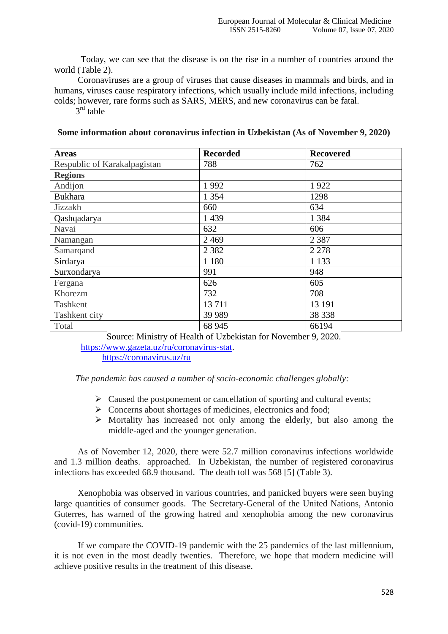Today, we can see that the disease is on the rise in a number of countries around the world (Table 2).

Coronaviruses are a group of viruses that cause diseases in mammals and birds, and in humans, viruses cause respiratory infections, which usually include mild infections, including colds; however, rare forms such as SARS, MERS, and new coronavirus can be fatal.

3<sup>rd</sup> table

**Some information about coronavirus infection in Uzbekistan (As of November 9, 2020)**

| <b>Areas</b>                 | <b>Recorded</b> | <b>Recovered</b> |
|------------------------------|-----------------|------------------|
| Respublic of Karakalpagistan | 788             | 762              |
| <b>Regions</b>               |                 |                  |
| Andijon                      | 1992            | 1922             |
| <b>Bukhara</b>               | 1 3 5 4         | 1298             |
| Jizzakh                      | 660             | 634              |
| Qashqadarya                  | 1 4 3 9         | 1 3 8 4          |
| Navai                        | 632             | 606              |
| Namangan                     | 2 4 6 9         | 2 3 8 7          |
| Samarqand                    | 2 3 8 2         | 2 2 7 8          |
| Sirdarya                     | 1 1 8 0         | 1 1 3 3          |
| Surxondarya                  | 991             | 948              |
| Fergana                      | 626             | 605              |
| Khorezm                      | 732             | 708              |
| Tashkent                     | 13711           | 13 191           |
| Tashkent city                | 39 989          | 38 338           |
| Total                        | 68 945          | 66194            |

Source: Ministry of Health of Uzbekistan for November 9, 2020. [https://www.gazeta.uz/ru/coronavirus-stat.](https://www.gazeta.uz/ru/coronavirus-stat)

<https://coronavirus.uz/ru>

*The pandemic has caused a number of socio-economic challenges globally:*

- $\triangleright$  Caused the postponement or cancellation of sporting and cultural events;
- $\triangleright$  Concerns about shortages of medicines, electronics and food;
- $\triangleright$  Mortality has increased not only among the elderly, but also among the middle-aged and the younger generation.

As of November 12, 2020, there were 52.7 million coronavirus infections worldwide and 1.3 million deaths. approached. In Uzbekistan, the number of registered coronavirus infections has exceeded 68.9 thousand. The death toll was 568 [5] (Table 3).

Xenophobia was observed in various countries, and panicked buyers were seen buying large quantities of consumer goods. The Secretary-General of the United Nations, Antonio Guterres, has warned of the growing hatred and xenophobia among the new coronavirus (covid-19) communities.

If we compare the COVID-19 pandemic with the 25 pandemics of the last millennium, it is not even in the most deadly twenties. Therefore, we hope that modern medicine will achieve positive results in the treatment of this disease.